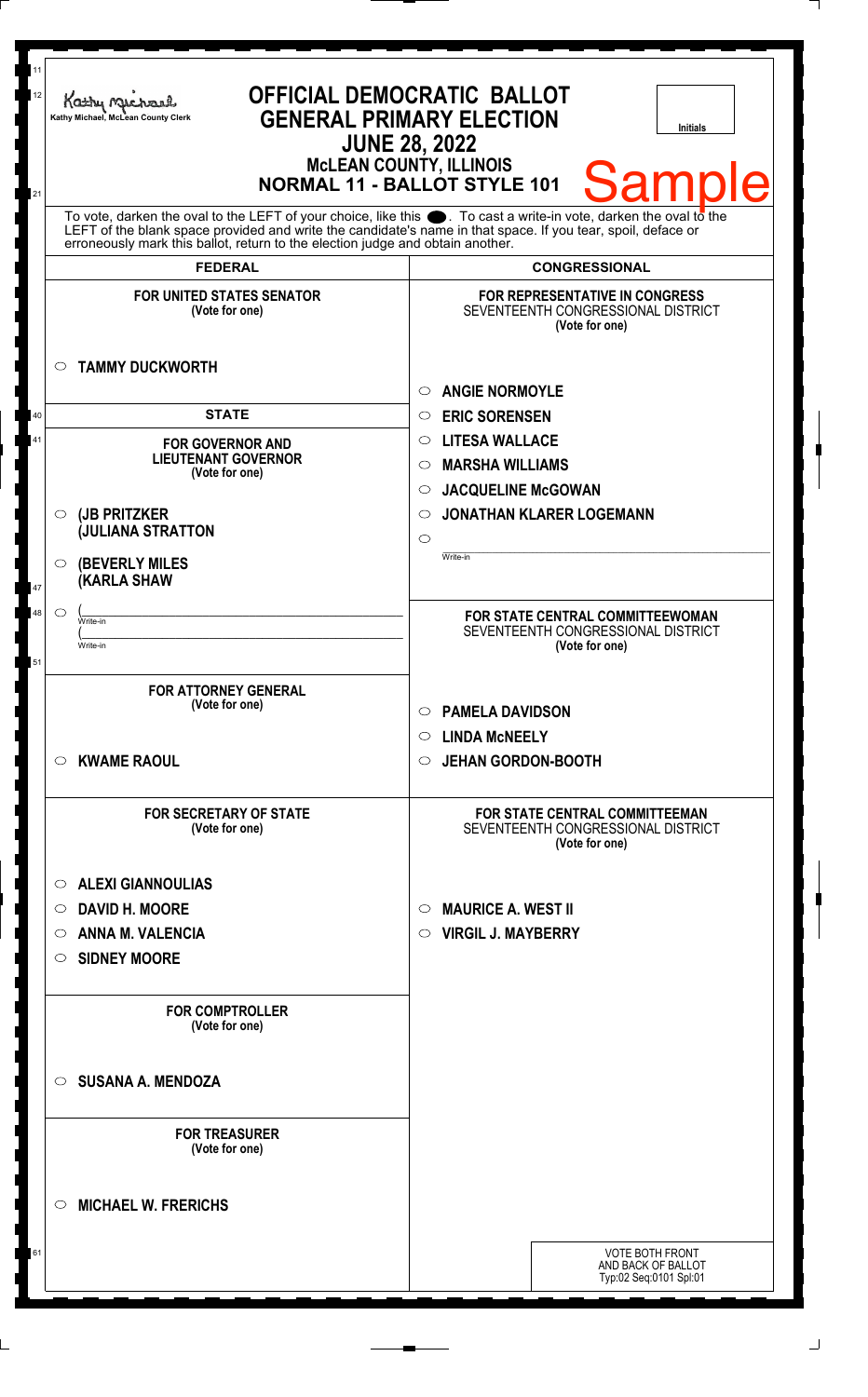| 11<br>12<br>21 |         | <b>OFFICIAL DEMOCRATIC BALLOT</b><br>Kathy Michael<br><b>GENERAL PRIMARY ELECTION</b><br>Kathy Michael, McLean County Clerk<br><b>Initials</b><br><b>JUNE 28, 2022</b><br><b>McLEAN COUNTY, ILLINOIS</b><br>Samp<br>Ie<br><b>NORMAL 11 - BALLOT STYLE 101</b>                                                                            |                                                                                        |  |
|----------------|---------|------------------------------------------------------------------------------------------------------------------------------------------------------------------------------------------------------------------------------------------------------------------------------------------------------------------------------------------|----------------------------------------------------------------------------------------|--|
|                |         | To vote, darken the oval to the LEFT of your choice, like this $\bullet$ . To cast a write-in vote, darken the oval to the LEFT of the blank space provided and write the candidate's name in that space. If you tear, spoil, deface<br>erroneously mark this ballot, return to the election judge and obtain another.<br><b>FEDERAL</b> | <b>CONGRESSIONAL</b>                                                                   |  |
|                |         |                                                                                                                                                                                                                                                                                                                                          |                                                                                        |  |
|                | $\circ$ | <b>FOR UNITED STATES SENATOR</b><br>(Vote for one)<br><b>TAMMY DUCKWORTH</b>                                                                                                                                                                                                                                                             | FOR REPRESENTATIVE IN CONGRESS<br>SEVENTEENTH CONGRESSIONAL DISTRICT<br>(Vote for one) |  |
|                |         |                                                                                                                                                                                                                                                                                                                                          | <b>ANGIE NORMOYLE</b><br>O                                                             |  |
| 40             |         | <b>STATE</b>                                                                                                                                                                                                                                                                                                                             | <b>ERIC SORENSEN</b><br>$\circ$                                                        |  |
| 41             |         |                                                                                                                                                                                                                                                                                                                                          | <b>LITESA WALLACE</b><br>$\circ$                                                       |  |
|                |         | <b>FOR GOVERNOR AND</b><br><b>LIEUTENANT GOVERNOR</b>                                                                                                                                                                                                                                                                                    | <b>MARSHA WILLIAMS</b><br>$\circ$                                                      |  |
|                |         | (Vote for one)                                                                                                                                                                                                                                                                                                                           | <b>JACQUELINE McGOWAN</b><br>$\circ$                                                   |  |
|                | $\circ$ | (JB PRITZKER                                                                                                                                                                                                                                                                                                                             | <b>JONATHAN KLARER LOGEMANN</b><br>$\circ$                                             |  |
|                |         | <b>JULIANA STRATTON</b>                                                                                                                                                                                                                                                                                                                  | $\circ$                                                                                |  |
|                |         |                                                                                                                                                                                                                                                                                                                                          | Write-in                                                                               |  |
|                | $\circ$ | <b>(BEVERLY MILES)</b><br><b>KARLA SHAW</b>                                                                                                                                                                                                                                                                                              |                                                                                        |  |
| 47             |         |                                                                                                                                                                                                                                                                                                                                          |                                                                                        |  |
| 48             | $\circ$ | Write-in                                                                                                                                                                                                                                                                                                                                 | FOR STATE CENTRAL COMMITTEEWOMAN<br>SEVENTEENTH CONGRESSIONAL DISTRICT                 |  |
|                |         | Write-in                                                                                                                                                                                                                                                                                                                                 | (Vote for one)                                                                         |  |
| 51             |         |                                                                                                                                                                                                                                                                                                                                          |                                                                                        |  |
|                |         | <b>FOR ATTORNEY GENERAL</b>                                                                                                                                                                                                                                                                                                              |                                                                                        |  |
|                |         | (Vote for one)                                                                                                                                                                                                                                                                                                                           | <b>PAMELA DAVIDSON</b><br>$\circ$                                                      |  |
|                |         |                                                                                                                                                                                                                                                                                                                                          | <b>LINDA MCNEELY</b><br>O                                                              |  |
|                | $\circ$ | <b>KWAME RAOUL</b>                                                                                                                                                                                                                                                                                                                       | <b>JEHAN GORDON-BOOTH</b><br>$\circ$                                                   |  |
|                |         |                                                                                                                                                                                                                                                                                                                                          |                                                                                        |  |
|                |         | <b>FOR SECRETARY OF STATE</b><br>(Vote for one)                                                                                                                                                                                                                                                                                          | FOR STATE CENTRAL COMMITTEEMAN<br>SEVENTEENTH CONGRESSIONAL DISTRICT<br>(Vote for one) |  |
|                | $\circ$ | <b>ALEXI GIANNOULIAS</b>                                                                                                                                                                                                                                                                                                                 |                                                                                        |  |
|                |         |                                                                                                                                                                                                                                                                                                                                          |                                                                                        |  |
|                | $\circ$ | <b>DAVID H. MOORE</b>                                                                                                                                                                                                                                                                                                                    | <b>MAURICE A. WEST II</b><br>$\circ$                                                   |  |
|                | $\circ$ | <b>ANNA M. VALENCIA</b>                                                                                                                                                                                                                                                                                                                  | <b>VIRGIL J. MAYBERRY</b><br>O                                                         |  |
|                | $\circ$ | <b>SIDNEY MOORE</b>                                                                                                                                                                                                                                                                                                                      |                                                                                        |  |
|                |         | <b>FOR COMPTROLLER</b><br>(Vote for one)                                                                                                                                                                                                                                                                                                 |                                                                                        |  |
|                | $\circ$ | <b>SUSANA A. MENDOZA</b>                                                                                                                                                                                                                                                                                                                 |                                                                                        |  |
|                |         | <b>FOR TREASURER</b><br>(Vote for one)                                                                                                                                                                                                                                                                                                   |                                                                                        |  |
|                | ◯       | <b>MICHAEL W. FRERICHS</b>                                                                                                                                                                                                                                                                                                               |                                                                                        |  |
| 61             |         |                                                                                                                                                                                                                                                                                                                                          | <b>VOTE BOTH FRONT</b>                                                                 |  |
|                |         |                                                                                                                                                                                                                                                                                                                                          | AND BACK OF BALLOT<br>Typ:02 Seq:0101 Spl:01                                           |  |
|                |         |                                                                                                                                                                                                                                                                                                                                          |                                                                                        |  |